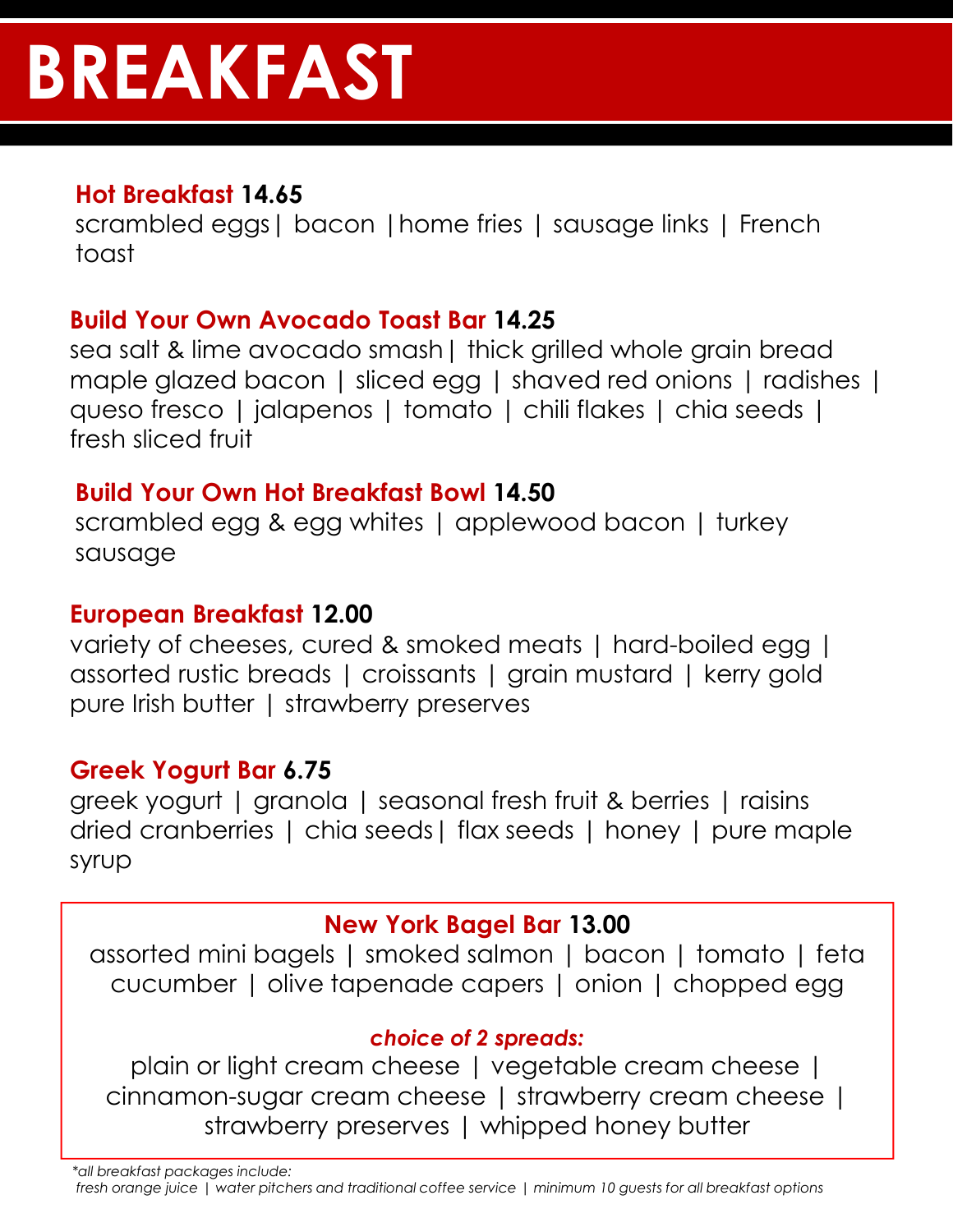# **BREAKFAST**

# **Hot Breakfast 14.65**

scrambled eggs| bacon |home fries | sausage links | French toast

# **Build Your Own Avocado Toast Bar 14.25**

sea salt & lime avocado smash| thick grilled whole grain bread maple glazed bacon | sliced egg | shaved red onions | radishes | queso fresco | jalapenos | tomato | chili flakes | chia seeds | fresh sliced fruit

## **Build Your Own Hot Breakfast Bowl 14.50**

scrambled egg & egg whites | applewood bacon | turkey sausage

## **European Breakfast 12.00**

variety of cheeses, cured & smoked meats | hard-boiled egg | assorted rustic breads | croissants | grain mustard | kerry gold pure Irish butter | strawberry preserves

## **Greek Yogurt Bar 6.75**

greek yogurt | granola | seasonal fresh fruit & berries | raisins dried cranberries | chia seeds| flax seeds | honey | pure maple syrup

## **New York Bagel Bar 13.00**

assorted mini bagels | smoked salmon | bacon | tomato | feta cucumber | olive tapenade capers | onion | chopped egg

## *choice of 2 spreads:*

plain or light cream cheese | vegetable cream cheese | cinnamon-sugar cream cheese | strawberry cream cheese | strawberry preserves | whipped honey butter

*\*all breakfast packages include:*

*fresh orange juice | water pitchers and traditional coffee service | minimum 10 guests for all breakfast options*